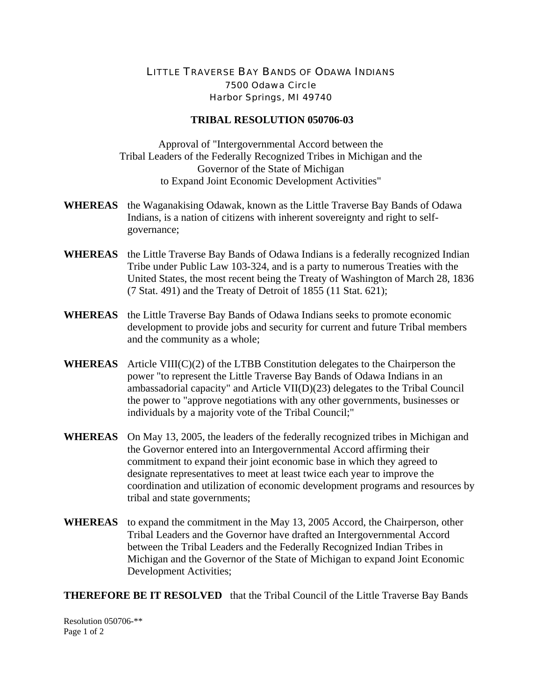## LITTLE TRAVERSE BAY BANDS OF ODAWA INDIANS 7500 Odawa Circle Harbor Springs, MI 49740

## **TRIBAL RESOLUTION 050706-03**

Approval of "Intergovernmental Accord between the Tribal Leaders of the Federally Recognized Tribes in Michigan and the Governor of the State of Michigan to Expand Joint Economic Development Activities"

- **WHEREAS** the Waganakising Odawak, known as the Little Traverse Bay Bands of Odawa Indians, is a nation of citizens with inherent sovereignty and right to selfgovernance;
- **WHEREAS** the Little Traverse Bay Bands of Odawa Indians is a federally recognized Indian Tribe under Public Law 103-324, and is a party to numerous Treaties with the United States, the most recent being the Treaty of Washington of March 28, 1836 (7 Stat. 491) and the Treaty of Detroit of 1855 (11 Stat. 621);
- **WHEREAS** the Little Traverse Bay Bands of Odawa Indians seeks to promote economic development to provide jobs and security for current and future Tribal members and the community as a whole;
- **WHEREAS** Article VIII(C)(2) of the LTBB Constitution delegates to the Chairperson the power "to represent the Little Traverse Bay Bands of Odawa Indians in an ambassadorial capacity" and Article VII(D)(23) delegates to the Tribal Council the power to "approve negotiations with any other governments, businesses or individuals by a majority vote of the Tribal Council;"
- **WHEREAS** On May 13, 2005, the leaders of the federally recognized tribes in Michigan and the Governor entered into an Intergovernmental Accord affirming their commitment to expand their joint economic base in which they agreed to designate representatives to meet at least twice each year to improve the coordination and utilization of economic development programs and resources by tribal and state governments;
- **WHEREAS** to expand the commitment in the May 13, 2005 Accord, the Chairperson, other Tribal Leaders and the Governor have drafted an Intergovernmental Accord between the Tribal Leaders and the Federally Recognized Indian Tribes in Michigan and the Governor of the State of Michigan to expand Joint Economic Development Activities;

**THEREFORE BE IT RESOLVED** that the Tribal Council of the Little Traverse Bay Bands

Resolution 050706-\*\* Page 1 of 2